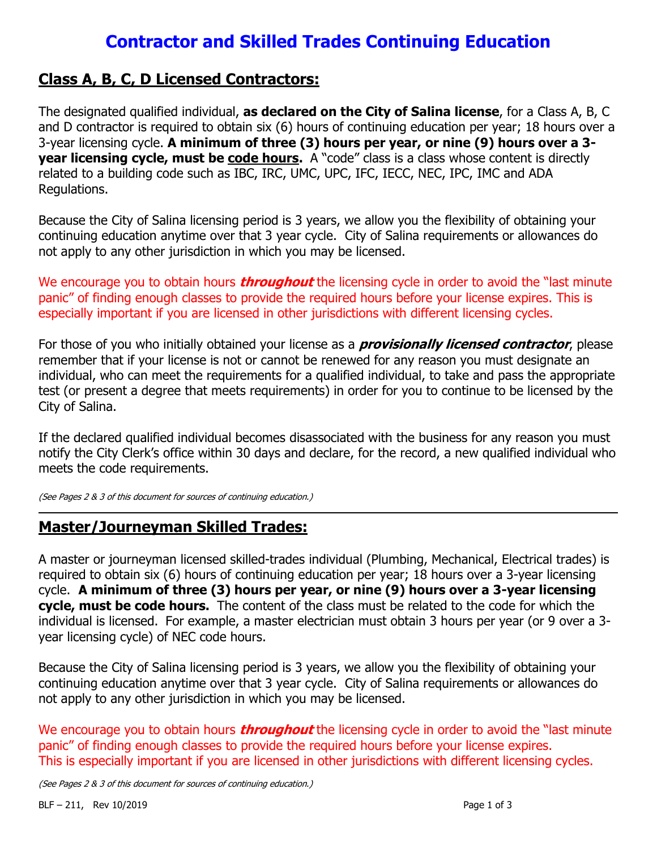# Contractor and Skilled Trades Continuing Education

#### Class A, B, C, D Licensed Contractors:

The designated qualified individual, as declared on the City of Salina license, for a Class A, B, C and D contractor is required to obtain six (6) hours of continuing education per year; 18 hours over a 3-year licensing cycle. A minimum of three (3) hours per year, or nine (9) hours over a 3 year licensing cycle, must be code hours. A "code" class is a class whose content is directly related to a building code such as IBC, IRC, UMC, UPC, IFC, IECC, NEC, IPC, IMC and ADA Regulations.

Because the City of Salina licensing period is 3 years, we allow you the flexibility of obtaining your continuing education anytime over that 3 year cycle. City of Salina requirements or allowances do not apply to any other jurisdiction in which you may be licensed.

We encourage you to obtain hours *throughout* the licensing cycle in order to avoid the "last minute panic" of finding enough classes to provide the required hours before your license expires. This is especially important if you are licensed in other jurisdictions with different licensing cycles.

For those of you who initially obtained your license as a *provisionally licensed contractor*, please remember that if your license is not or cannot be renewed for any reason you must designate an individual, who can meet the requirements for a qualified individual, to take and pass the appropriate test (or present a degree that meets requirements) in order for you to continue to be licensed by the City of Salina.

If the declared qualified individual becomes disassociated with the business for any reason you must notify the City Clerk's office within 30 days and declare, for the record, a new qualified individual who meets the code requirements.

(See Pages 2 & 3 of this document for sources of continuing education.)

### Master/Journeyman Skilled Trades:

A master or journeyman licensed skilled-trades individual (Plumbing, Mechanical, Electrical trades) is required to obtain six (6) hours of continuing education per year; 18 hours over a 3-year licensing cycle. A minimum of three (3) hours per year, or nine (9) hours over a 3-year licensing cycle, must be code hours. The content of the class must be related to the code for which the individual is licensed. For example, a master electrician must obtain 3 hours per year (or 9 over a 3 year licensing cycle) of NEC code hours.

Because the City of Salina licensing period is 3 years, we allow you the flexibility of obtaining your continuing education anytime over that 3 year cycle. City of Salina requirements or allowances do not apply to any other jurisdiction in which you may be licensed.

We encourage you to obtain hours *throughout* the licensing cycle in order to avoid the "last minute panic" of finding enough classes to provide the required hours before your license expires. This is especially important if you are licensed in other jurisdictions with different licensing cycles.

(See Pages 2 & 3 of this document for sources of continuing education.)

 $\overline{a}$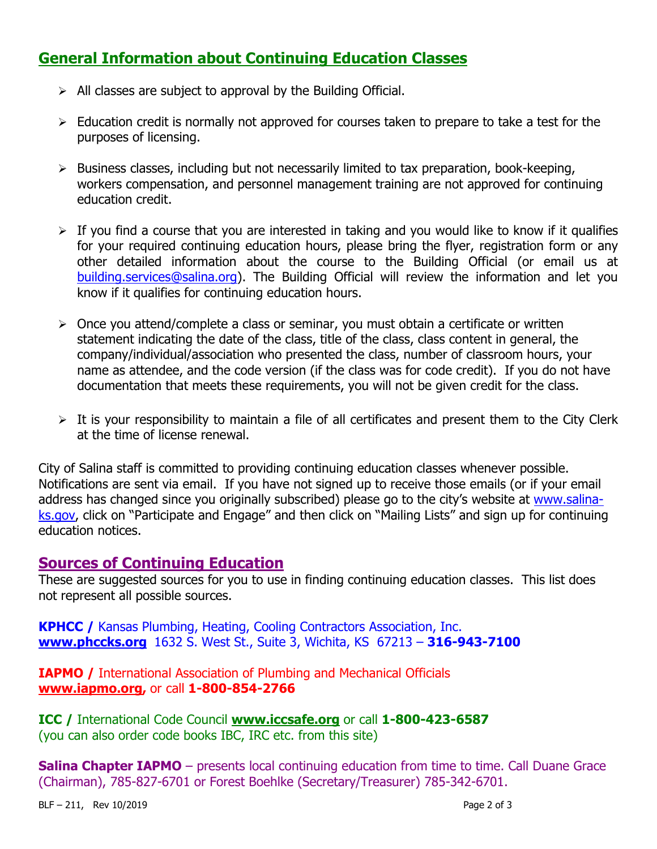## General Information about Continuing Education Classes

- $\triangleright$  All classes are subject to approval by the Building Official.
- $\triangleright$  Education credit is normally not approved for courses taken to prepare to take a test for the purposes of licensing.
- $\triangleright$  Business classes, including but not necessarily limited to tax preparation, book-keeping, workers compensation, and personnel management training are not approved for continuing education credit.
- $\triangleright$  If you find a course that you are interested in taking and you would like to know if it qualifies for your required continuing education hours, please bring the flyer, registration form or any other detailed information about the course to the Building Official (or email us at building.services@salina.org). The Building Official will review the information and let you know if it qualifies for continuing education hours.
- $\triangleright$  Once you attend/complete a class or seminar, you must obtain a certificate or written statement indicating the date of the class, title of the class, class content in general, the company/individual/association who presented the class, number of classroom hours, your name as attendee, and the code version (if the class was for code credit). If you do not have documentation that meets these requirements, you will not be given credit for the class.
- $\triangleright$  It is your responsibility to maintain a file of all certificates and present them to the City Clerk at the time of license renewal.

City of Salina staff is committed to providing continuing education classes whenever possible. Notifications are sent via email. If you have not signed up to receive those emails (or if your email address has changed since you originally subscribed) please go to the city's website at www.salinaks.gov, click on "Participate and Engage" and then click on "Mailing Lists" and sign up for continuing education notices.

#### Sources of Continuing Education

These are suggested sources for you to use in finding continuing education classes. This list does not represent all possible sources.

KPHCC / Kansas Plumbing, Heating, Cooling Contractors Association, Inc. www.phccks.org 1632 S. West St., Suite 3, Wichita, KS 67213 – 316-943-7100

IAPMO / International Association of Plumbing and Mechanical Officials www.iapmo.org, or call 1-800-854-2766

ICC / International Code Council www.iccsafe.org or call 1-800-423-6587 (you can also order code books IBC, IRC etc. from this site)

Salina Chapter IAPMO – presents local continuing education from time to time. Call Duane Grace (Chairman), 785-827-6701 or Forest Boehlke (Secretary/Treasurer) 785-342-6701.

BLF – 211, Rev 10/2019 Page 2 of 3